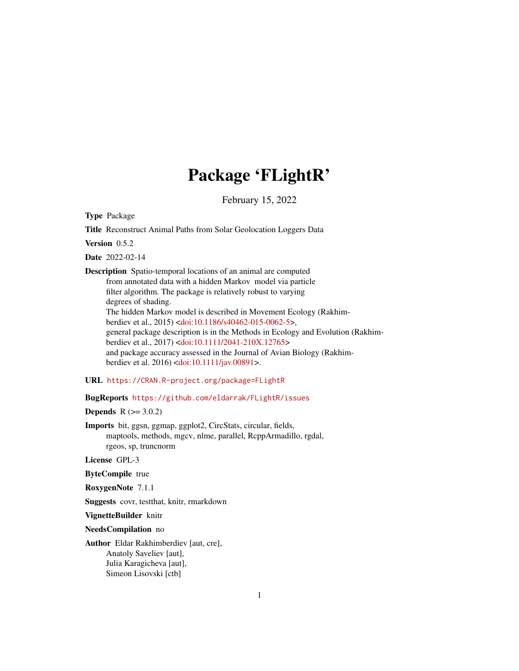# Package 'FLightR'

February 15, 2022

<span id="page-0-0"></span>Type Package

Title Reconstruct Animal Paths from Solar Geolocation Loggers Data

Version 0.5.2

Date 2022-02-14

Description Spatio-temporal locations of an animal are computed from annotated data with a hidden Markov model via particle filter algorithm. The package is relatively robust to varying degrees of shading. The hidden Markov model is described in Movement Ecology (Rakhimberdiev et al., 2015) [<doi:10.1186/s40462-015-0062-5>](https://doi.org/10.1186/s40462-015-0062-5), general package description is in the Methods in Ecology and Evolution (Rakhimberdiev et al., 2017) [<doi:10.1111/2041-210X.12765>](https://doi.org/10.1111/2041-210X.12765) and package accuracy assessed in the Journal of Avian Biology (Rakhimberdiev et al. 2016) [<doi:10.1111/jav.00891>](https://doi.org/10.1111/jav.00891).

URL <https://CRAN.R-project.org/package=FLightR>

BugReports <https://github.com/eldarrak/FLightR/issues>

**Depends**  $R (= 3.0.2)$ 

Imports bit, ggsn, ggmap, ggplot2, CircStats, circular, fields, maptools, methods, mgcv, nlme, parallel, RcppArmadillo, rgdal, rgeos, sp, truncnorm

License GPL-3

ByteCompile true

RoxygenNote 7.1.1

Suggests covr, testthat, knitr, rmarkdown

VignetteBuilder knitr

NeedsCompilation no

Author Eldar Rakhimberdiev [aut, cre], Anatoly Saveliev [aut], Julia Karagicheva [aut], Simeon Lisovski [ctb]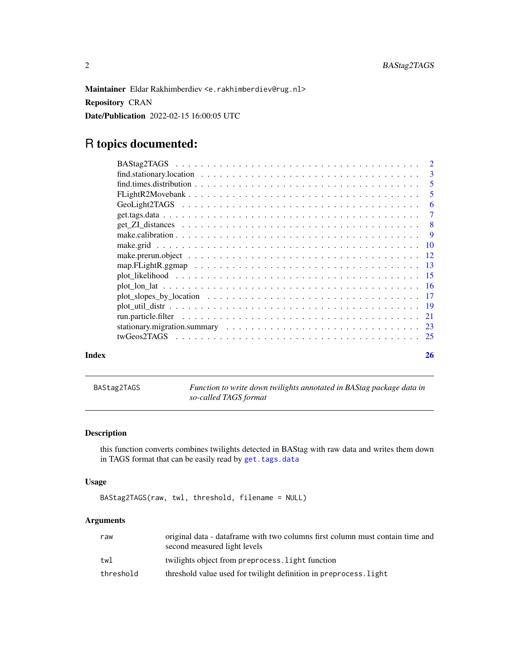<span id="page-1-0"></span>Maintainer Eldar Rakhimberdiev <e.rakhimberdiev@rug.nl>

Repository CRAN

Date/Publication 2022-02-15 16:00:05 UTC

# R topics documented:

| Index | 26 |
|-------|----|

<span id="page-1-1"></span>BAStag2TAGS *Function to write down twilights annotated in BAStag package data in so-called TAGS format*

#### Description

this function converts combines twilights detected in BAStag with raw data and writes them down in TAGS format that can be easily read by [get.tags.data](#page-6-1)

#### Usage

```
BAStag2TAGS(raw, twl, threshold, filename = NULL)
```

| raw       | original data - dataframe with two columns first column must contain time and<br>second measured light levels |
|-----------|---------------------------------------------------------------------------------------------------------------|
| twl       | twilights object from preprocess. Light function                                                              |
| threshold | threshold value used for twilight definition in preprocess. light                                             |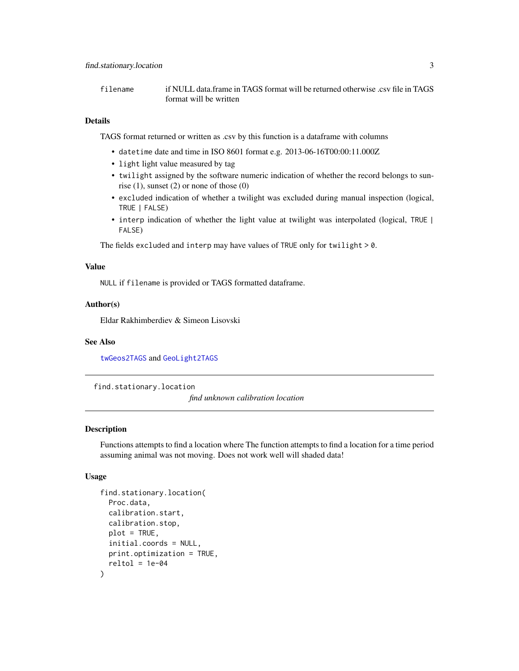<span id="page-2-0"></span>filename if NULL data.frame in TAGS format will be returned otherwise .csv file in TAGS format will be written

#### Details

TAGS format returned or written as .csv by this function is a dataframe with columns

- datetime date and time in ISO 8601 format e.g. 2013-06-16T00:00:11.000Z
- light light value measured by tag
- twilight assigned by the software numeric indication of whether the record belongs to sunrise  $(1)$ , sunset  $(2)$  or none of those  $(0)$
- excluded indication of whether a twilight was excluded during manual inspection (logical, TRUE | FALSE)
- interp indication of whether the light value at twilight was interpolated (logical, TRUE | FALSE)

The fields excluded and interp may have values of TRUE only for twilight > 0.

#### Value

NULL if filename is provided or TAGS formatted dataframe.

#### Author(s)

Eldar Rakhimberdiev & Simeon Lisovski

#### See Also

[twGeos2TAGS](#page-24-1) and [GeoLight2TAGS](#page-5-1)

find.stationary.location

*find unknown calibration location*

#### Description

Functions attempts to find a location where The function attempts to find a location for a time period assuming animal was not moving. Does not work well will shaded data!

#### Usage

```
find.stationary.location(
 Proc.data,
  calibration.start,
  calibration.stop,
 plot = TRUE,
  initial.coords = NULL,
 print.optimization = TRUE,
  reltol = 1e-04)
```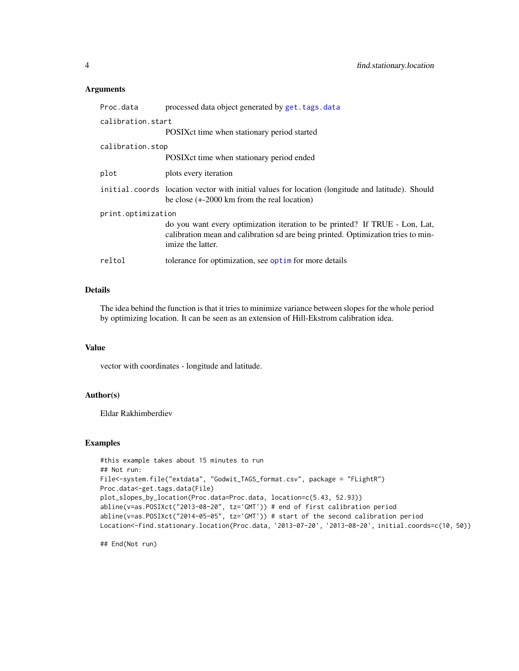#### <span id="page-3-0"></span>Arguments

| Proc.data          | processed data object generated by get. tags. data                                                                                                                                    |
|--------------------|---------------------------------------------------------------------------------------------------------------------------------------------------------------------------------------|
| calibration.start  |                                                                                                                                                                                       |
|                    | POSIX ct time when stationary period started                                                                                                                                          |
| calibration.stop   |                                                                                                                                                                                       |
|                    | POSIX ct time when stationary period ended                                                                                                                                            |
| plot               | plots every iteration                                                                                                                                                                 |
|                    | initial coords location vector with initial values for location (longitude and latitude). Should<br>be close $(+2000 \text{ km from the real location})$                              |
| print.optimization |                                                                                                                                                                                       |
|                    | do you want every optimization iteration to be printed? If TRUE - Lon, Lat,<br>calibration mean and calibration sd are being printed. Optimization tries to min-<br>imize the latter. |
| reltol             | tolerance for optimization, see optim for more details                                                                                                                                |
|                    |                                                                                                                                                                                       |

#### Details

The idea behind the function is that it tries to minimize variance between slopes for the whole period by optimizing location. It can be seen as an extension of Hill-Ekstrom calibration idea.

#### Value

vector with coordinates - longitude and latitude.

#### Author(s)

Eldar Rakhimberdiev

#### Examples

```
#this example takes about 15 minutes to run
## Not run:
File<-system.file("extdata", "Godwit_TAGS_format.csv", package = "FLightR")
Proc.data<-get.tags.data(File)
plot_slopes_by_location(Proc.data=Proc.data, location=c(5.43, 52.93))
abline(v=as.POSIXct("2013-08-20", tz='GMT')) # end of first calibration period
abline(v=as.POSIXct("2014-05-05", tz='GMT')) # start of the second calibration period
Location<-find.stationary.location(Proc.data, '2013-07-20', '2013-08-20', initial.coords=c(10, 50))
```
## End(Not run)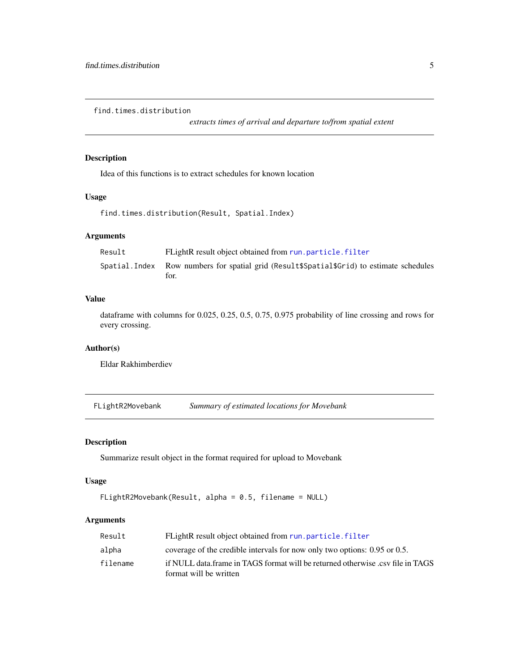<span id="page-4-0"></span>find.times.distribution

*extracts times of arrival and departure to/from spatial extent*

#### Description

Idea of this functions is to extract schedules for known location

#### Usage

find.times.distribution(Result, Spatial.Index)

#### Arguments

| Result | FLightR result object obtained from run.particle.filter                                           |
|--------|---------------------------------------------------------------------------------------------------|
|        | Spatial. Index Row numbers for spatial grid (Result\$Spatial\$Grid) to estimate schedules<br>for. |

#### Value

dataframe with columns for 0.025, 0.25, 0.5, 0.75, 0.975 probability of line crossing and rows for every crossing.

#### Author(s)

Eldar Rakhimberdiev

FLightR2Movebank *Summary of estimated locations for Movebank*

#### Description

Summarize result object in the format required for upload to Movebank

#### Usage

```
FLightR2Movebank(Result, alpha = 0.5, filename = NULL)
```

| Result   | FLightR result object obtained from run.particle.filter                                                  |
|----------|----------------------------------------------------------------------------------------------------------|
| alpha    | coverage of the credible intervals for now only two options: 0.95 or 0.5.                                |
| filename | if NULL data frame in TAGS format will be returned otherwise .csv file in TAGS<br>format will be written |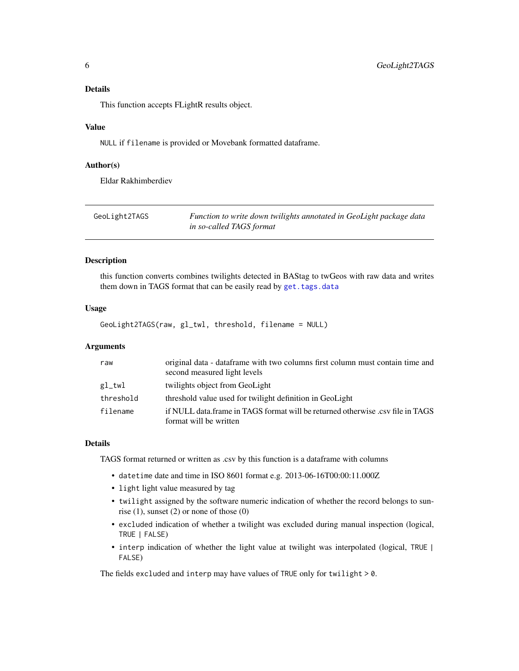<span id="page-5-0"></span>This function accepts FLightR results object.

#### Value

NULL if filename is provided or Movebank formatted dataframe.

#### Author(s)

Eldar Rakhimberdiev

<span id="page-5-1"></span>

| GeoLight2TAGS | Function to write down twilights annotated in GeoLight package data |
|---------------|---------------------------------------------------------------------|
|               | in so-called TAGS format                                            |

#### Description

this function converts combines twilights detected in BAStag to twGeos with raw data and writes them down in TAGS format that can be easily read by [get.tags.data](#page-6-1)

#### Usage

GeoLight2TAGS(raw, gl\_twl, threshold, filename = NULL)

#### Arguments

| raw       | original data - dataframe with two columns first column must contain time and<br>second measured light levels |
|-----------|---------------------------------------------------------------------------------------------------------------|
| gl_twl    | twilights object from GeoLight                                                                                |
| threshold | threshold value used for twilight definition in GeoLight                                                      |
| filename  | if NULL data frame in TAGS format will be returned otherwise .csy file in TAGS<br>format will be written      |

#### Details

TAGS format returned or written as .csv by this function is a dataframe with columns

- datetime date and time in ISO 8601 format e.g. 2013-06-16T00:00:11.000Z
- light light value measured by tag
- twilight assigned by the software numeric indication of whether the record belongs to sunrise  $(1)$ , sunset  $(2)$  or none of those  $(0)$
- excluded indication of whether a twilight was excluded during manual inspection (logical, TRUE | FALSE)
- interp indication of whether the light value at twilight was interpolated (logical, TRUE | FALSE)

The fields excluded and interp may have values of TRUE only for twilight > 0.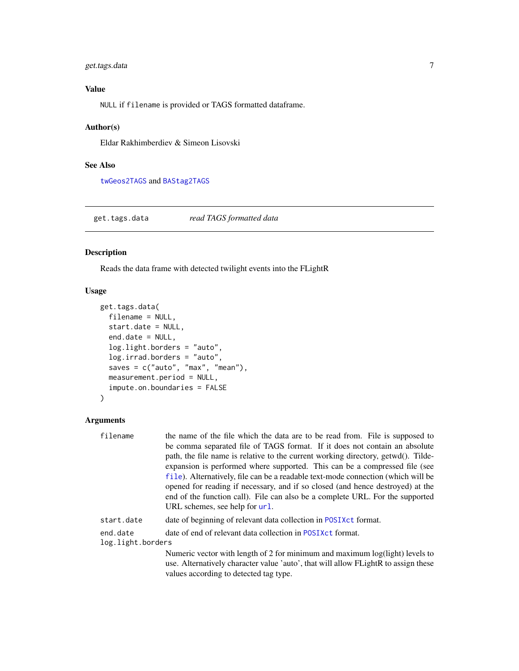#### <span id="page-6-0"></span>get.tags.data 7

#### Value

NULL if filename is provided or TAGS formatted dataframe.

#### Author(s)

Eldar Rakhimberdiev & Simeon Lisovski

#### See Also

[twGeos2TAGS](#page-24-1) and [BAStag2TAGS](#page-1-1)

<span id="page-6-1"></span>get.tags.data *read TAGS formatted data*

#### Description

Reads the data frame with detected twilight events into the FLightR

#### Usage

```
get.tags.data(
  filename = NULL,
  start.date = NULL,
  end.date = NULL,
  log.light.borders = "auto",
  log.irrad.borders = "auto",
  saves = c("auto", "max", "mean"),
 measurement.period = NULL,
  impute.on.boundaries = FALSE
\mathcal{L}
```

| filename          | the name of the file which the data are to be read from. File is supposed to       |
|-------------------|------------------------------------------------------------------------------------|
|                   | be comma separated file of TAGS format. If it does not contain an absolute         |
|                   | path, the file name is relative to the current working directory, getwd(). Tilde-  |
|                   | expansion is performed where supported. This can be a compressed file (see         |
|                   | file). Alternatively, file can be a readable text-mode connection (which will be   |
|                   | opened for reading if necessary, and if so closed (and hence destroyed) at the     |
|                   | end of the function call). File can also be a complete URL. For the supported      |
|                   | URL schemes, see help for url.                                                     |
| start.date        | date of beginning of relevant data collection in POSIX ct format.                  |
| end.date          | date of end of relevant data collection in POSIX ct format.                        |
| log.light.borders |                                                                                    |
|                   | Numeric vector with length of 2 for minimum and maximum log(light) levels to       |
|                   | use. Alternatively character value 'auto', that will allow FLightR to assign these |
|                   | values according to detected tag type.                                             |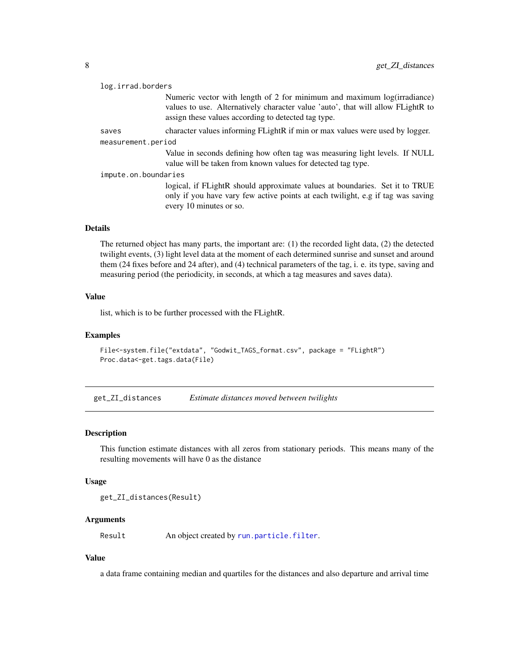<span id="page-7-0"></span>

| log.irrad.borders    |                                                                                                                                                                                                                   |
|----------------------|-------------------------------------------------------------------------------------------------------------------------------------------------------------------------------------------------------------------|
|                      | Numeric vector with length of 2 for minimum and maximum log(irradiance)<br>values to use. Alternatively character value 'auto', that will allow FLightR to<br>assign these values according to detected tag type. |
| saves                | character values informing FLightR if min or max values were used by logger.                                                                                                                                      |
| measurement.period   |                                                                                                                                                                                                                   |
|                      | Value in seconds defining how often tag was measuring light levels. If NULL<br>value will be taken from known values for detected tag type.                                                                       |
| impute.on.boundaries |                                                                                                                                                                                                                   |
|                      | logical, if FLightR should approximate values at boundaries. Set it to TRUE<br>only if you have vary few active points at each twilight, e.g if tag was saving<br>every 10 minutes or so.                         |
|                      |                                                                                                                                                                                                                   |

#### Details

The returned object has many parts, the important are: (1) the recorded light data, (2) the detected twilight events, (3) light level data at the moment of each determined sunrise and sunset and around them (24 fixes before and 24 after), and (4) technical parameters of the tag, i. e. its type, saving and measuring period (the periodicity, in seconds, at which a tag measures and saves data).

#### Value

list, which is to be further processed with the FLightR.

#### Examples

```
File<-system.file("extdata", "Godwit_TAGS_format.csv", package = "FLightR")
Proc.data<-get.tags.data(File)
```
get\_ZI\_distances *Estimate distances moved between twilights*

#### Description

This function estimate distances with all zeros from stationary periods. This means many of the resulting movements will have 0 as the distance

#### Usage

get\_ZI\_distances(Result)

#### Arguments

Result An object created by [run.particle.filter](#page-20-1).

#### Value

a data frame containing median and quartiles for the distances and also departure and arrival time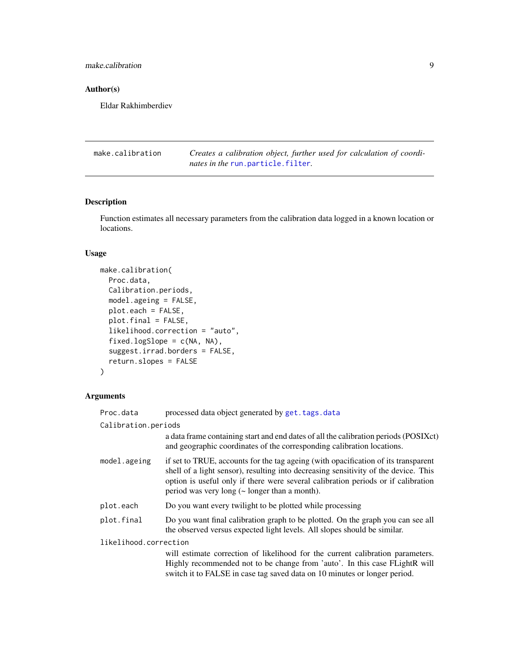<span id="page-8-0"></span>make.calibration 9

#### Author(s)

Eldar Rakhimberdiev

<span id="page-8-1"></span>make.calibration *Creates a calibration object, further used for calculation of coordinates in the* [run.particle.filter](#page-20-1)*.*

#### Description

Function estimates all necessary parameters from the calibration data logged in a known location or locations.

#### Usage

```
make.calibration(
 Proc.data,
 Calibration.periods,
 model.ageing = FALSE,
 plot.each = FALSE,
 plot.final = FALSE,
  likelihood.correction = "auto",
  fixed.logSlope = c(NA, NA),
  suggest.irrad.borders = FALSE,
  return.slopes = FALSE
)
```

| Proc.data             | processed data object generated by get. tags. data                                                                                                                                                                                                                                                                   |
|-----------------------|----------------------------------------------------------------------------------------------------------------------------------------------------------------------------------------------------------------------------------------------------------------------------------------------------------------------|
| Calibration.periods   |                                                                                                                                                                                                                                                                                                                      |
|                       | a data frame containing start and end dates of all the calibration periods (POSIXct)<br>and geographic coordinates of the corresponding calibration locations.                                                                                                                                                       |
| model.ageing          | if set to TRUE, accounts for the tag ageing (with opacification of its transparent<br>shell of a light sensor), resulting into decreasing sensitivity of the device. This<br>option is useful only if there were several calibration periods or if calibration<br>period was very long $(\sim$ longer than a month). |
| plot.each             | Do you want every twilight to be plotted while processing                                                                                                                                                                                                                                                            |
| plot.final            | Do you want final calibration graph to be plotted. On the graph you can see all<br>the observed versus expected light levels. All slopes should be similar.                                                                                                                                                          |
| likelihood.correction |                                                                                                                                                                                                                                                                                                                      |
|                       | will estimate correction of likelihood for the current calibration parameters.<br>Highly recommended not to be change from 'auto'. In this case FLightR will<br>switch it to FALSE in case tag saved data on 10 minutes or longer period.                                                                            |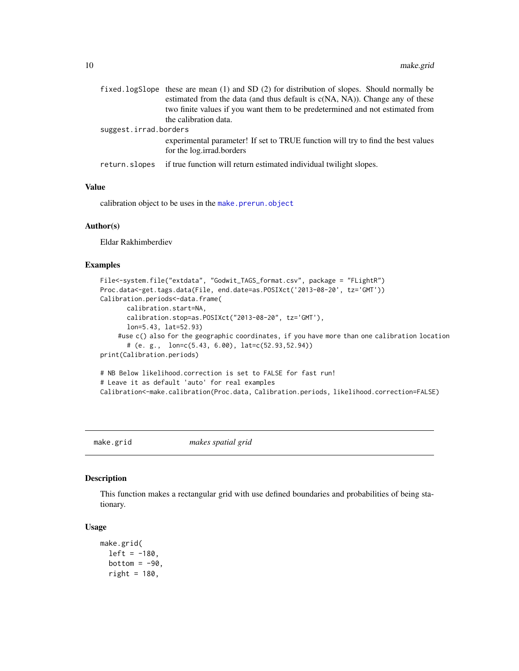<span id="page-9-0"></span>

|                       | fixed.logSlope these are mean $(1)$ and SD $(2)$ for distribution of slopes. Should normally be               |
|-----------------------|---------------------------------------------------------------------------------------------------------------|
|                       | estimated from the data (and thus default is $c(NA, NA)$ ). Change any of these                               |
|                       | two finite values if you want them to be predetermined and not estimated from                                 |
|                       | the calibration data.                                                                                         |
| suggest.irrad.borders |                                                                                                               |
|                       | experimental parameter! If set to TRUE function will try to find the best values<br>for the log.irrad.borders |
| return.slopes         | if true function will return estimated individual twilight slopes.                                            |

#### Value

calibration object to be uses in the [make.prerun.object](#page-11-1)

#### Author(s)

Eldar Rakhimberdiev

#### Examples

```
File<-system.file("extdata", "Godwit_TAGS_format.csv", package = "FLightR")
Proc.data<-get.tags.data(File, end.date=as.POSIXct('2013-08-20', tz='GMT'))
Calibration.periods<-data.frame(
      calibration.start=NA,
      calibration.stop=as.POSIXct("2013-08-20", tz='GMT'),
      lon=5.43, lat=52.93)
    #use c() also for the geographic coordinates, if you have more than one calibration location
      # (e. g., lon=c(5.43, 6.00), lat=c(52.93,52.94))
print(Calibration.periods)
# NB Below likelihood.correction is set to FALSE for fast run!
# Leave it as default 'auto' for real examples
Calibration<-make.calibration(Proc.data, Calibration.periods, likelihood.correction=FALSE)
```
<span id="page-9-1"></span>make.grid *makes spatial grid*

#### Description

This function makes a rectangular grid with use defined boundaries and probabilities of being stationary.

#### Usage

```
make.grid(
  left = -180,bottom = -90,
  right = 180,
```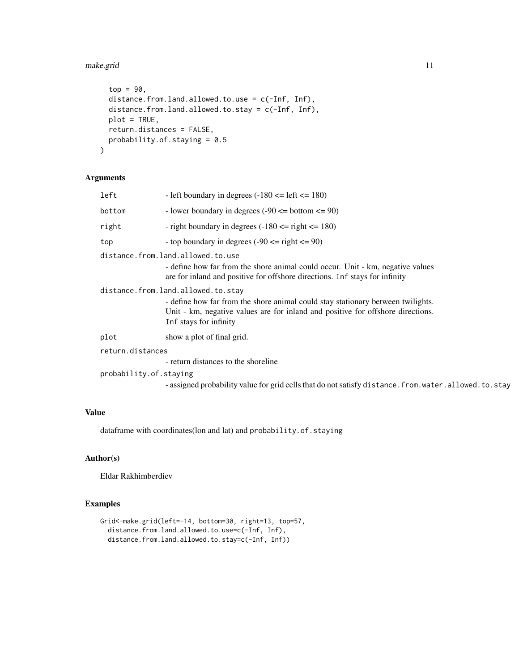#### make.grid 11

```
top = 90,distance.from.land.allowed.to.use = c(-Inf, Inf),
 distance.from.land.allowed.to.stay = c(-Inf, Inf),
 plot = TRUE,
 return.distances = FALSE,
 probability.of.staying = 0.5)
```
#### Arguments

| left                   | - left boundary in degrees $(-180 \leq \text{left} \leq 180)$                                                                                                                                                                      |
|------------------------|------------------------------------------------------------------------------------------------------------------------------------------------------------------------------------------------------------------------------------|
| bottom                 | - lower boundary in degrees $(-90 \leq bottom \leq 90)$                                                                                                                                                                            |
| right                  | - right boundary in degrees $(-180 \le$ right $\le$ 180)                                                                                                                                                                           |
| top                    | - top boundary in degrees $(-90 \le$ right $\le$ 90)                                                                                                                                                                               |
|                        | distance.from.land.allowed.to.use<br>- define how far from the shore animal could occur. Unit - km, negative values<br>are for inland and positive for offshore directions. Inf stays for infinity                                 |
|                        | distance.from.land.allowed.to.stay<br>- define how far from the shore animal could stay stationary between twilights.<br>Unit - km, negative values are for inland and positive for offshore directions.<br>Inf stays for infinity |
| plot                   | show a plot of final grid.                                                                                                                                                                                                         |
| return.distances       |                                                                                                                                                                                                                                    |
|                        | - return distances to the shoreline                                                                                                                                                                                                |
| probability.of.staying |                                                                                                                                                                                                                                    |
|                        | - assigned probability value for grid cells that do not satisfy distance. from. water. allowed. to. stay                                                                                                                           |

#### Value

dataframe with coordinates(lon and lat) and probability.of.staying

#### Author(s)

Eldar Rakhimberdiev

#### Examples

```
Grid<-make.grid(left=-14, bottom=30, right=13, top=57,
  distance.from.land.allowed.to.use=c(-Inf, Inf),
  distance.from.land.allowed.to.stay=c(-Inf, Inf))
```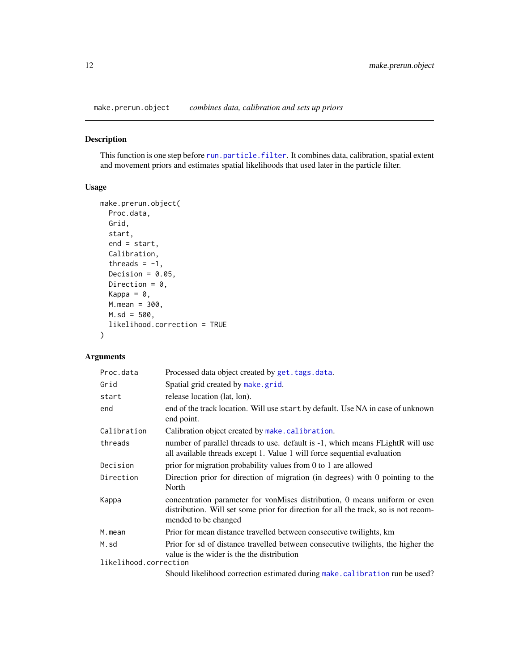<span id="page-11-1"></span><span id="page-11-0"></span>make.prerun.object *combines data, calibration and sets up priors*

#### Description

This function is one step before [run.particle.filter](#page-20-1). It combines data, calibration, spatial extent and movement priors and estimates spatial likelihoods that used later in the particle filter.

#### Usage

```
make.prerun.object(
  Proc.data,
  Grid,
  start,
  end = start,
  Calibration,
  threads = -1,
  Decision = 0.05,
  Direction = 0,
  Kappa = \theta,
  M.mean = 300,
  M.sd = 500,likelihood.correction = TRUE
\mathcal{E}
```

| Proc.data             | Processed data object created by get. tags. data.                                                                                                                                         |
|-----------------------|-------------------------------------------------------------------------------------------------------------------------------------------------------------------------------------------|
| Grid                  | Spatial grid created by make grid.                                                                                                                                                        |
| start                 | release location (lat, lon).                                                                                                                                                              |
| end                   | end of the track location. Will use start by default. Use NA in case of unknown<br>end point.                                                                                             |
| Calibration           | Calibration object created by make.calibration.                                                                                                                                           |
| threads               | number of parallel threads to use. default is -1, which means FLightR will use<br>all available threads except 1. Value 1 will force sequential evaluation                                |
| Decision              | prior for migration probability values from 0 to 1 are allowed                                                                                                                            |
| Direction             | Direction prior for direction of migration (in degrees) with 0 pointing to the<br>North                                                                                                   |
| Kappa                 | concentration parameter for vonMises distribution, 0 means uniform or even<br>distribution. Will set some prior for direction for all the track, so is not recom-<br>mended to be changed |
| M.mean                | Prior for mean distance travelled between consecutive twilights, km                                                                                                                       |
| M.sd                  | Prior for sd of distance travelled between consecutive twilights, the higher the<br>value is the wider is the the distribution                                                            |
| likelihood.correction |                                                                                                                                                                                           |
|                       | Should likelihood correction estimated during make. calibration run be used?                                                                                                              |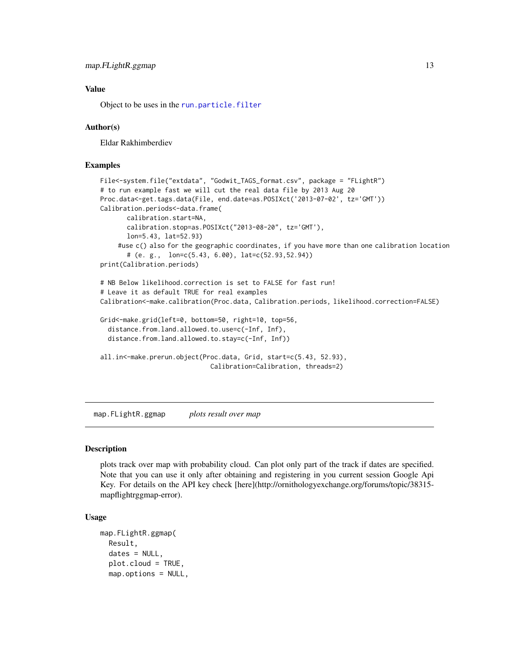#### <span id="page-12-0"></span>Value

Object to be uses in the [run.particle.filter](#page-20-1)

#### Author(s)

Eldar Rakhimberdiev

#### Examples

```
File<-system.file("extdata", "Godwit_TAGS_format.csv", package = "FLightR")
# to run example fast we will cut the real data file by 2013 Aug 20
Proc.data<-get.tags.data(File, end.date=as.POSIXct('2013-07-02', tz='GMT'))
Calibration.periods<-data.frame(
      calibration.start=NA,
      calibration.stop=as.POSIXct("2013-08-20", tz='GMT'),
      lon=5.43, lat=52.93)
    #use c() also for the geographic coordinates, if you have more than one calibration location
      # (e. g., lon=c(5.43, 6.00), lat=c(52.93,52.94))
print(Calibration.periods)
# NB Below likelihood.correction is set to FALSE for fast run!
# Leave it as default TRUE for real examples
Calibration<-make.calibration(Proc.data, Calibration.periods, likelihood.correction=FALSE)
Grid<-make.grid(left=0, bottom=50, right=10, top=56,
 distance.from.land.allowed.to.use=c(-Inf, Inf),
 distance.from.land.allowed.to.stay=c(-Inf, Inf))
all.in<-make.prerun.object(Proc.data, Grid, start=c(5.43, 52.93),
                             Calibration=Calibration, threads=2)
```
map.FLightR.ggmap *plots result over map*

#### Description

plots track over map with probability cloud. Can plot only part of the track if dates are specified. Note that you can use it only after obtaining and registering in you current session Google Api Key. For details on the API key check [here](http://ornithologyexchange.org/forums/topic/38315 mapflightrggmap-error).

#### Usage

```
map.FLightR.ggmap(
 Result,
  dates = NULL,
  plot.cloud = TRUE,
  map.options = NULL,
```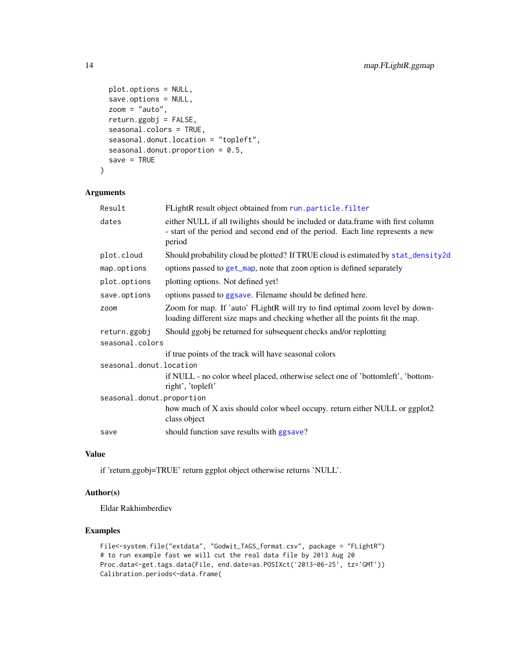```
plot.options = NULL,
  save.options = NULL,
 zoom = "auto",
  return.ggobj = FALSE,
  seasonal.colors = TRUE,
  seasonal.donut.location = "topleft",
  seasonal.donut.proportion = 0.5,
  save = TRUE\lambda
```
#### Arguments

| Result                    | FLightR result object obtained from run.particle.filter                                                                                                                     |
|---------------------------|-----------------------------------------------------------------------------------------------------------------------------------------------------------------------------|
| dates                     | either NULL if all twilights should be included or data.frame with first column<br>- start of the period and second end of the period. Each line represents a new<br>period |
| plot.cloud                | Should probability cloud be plotted? If TRUE cloud is estimated by stat_density2d                                                                                           |
| map.options               | options passed to get_map, note that zoom option is defined separately                                                                                                      |
| plot.options              | plotting options. Not defined yet!                                                                                                                                          |
| save.options              | options passed to ggsave. Filename should be defined here.                                                                                                                  |
| zoom                      | Zoom for map. If 'auto' FLightR will try to find optimal zoom level by down-<br>loading different size maps and checking whether all the points fit the map.                |
| return.ggobj              | Should ggobj be returned for subsequent checks and/or replotting                                                                                                            |
| seasonal.colors           |                                                                                                                                                                             |
|                           | if true points of the track will have seasonal colors                                                                                                                       |
| seasonal.donut.location   |                                                                                                                                                                             |
|                           | if NULL - no color wheel placed, otherwise select one of 'bottomleft', 'bottom-<br>right', 'topleft'                                                                        |
| seasonal.donut.proportion |                                                                                                                                                                             |
|                           | how much of X axis should color wheel occupy. return either NULL or ggplot2<br>class object                                                                                 |
| save                      | should function save results with ggsave?                                                                                                                                   |
|                           |                                                                                                                                                                             |

#### Value

if 'return.ggobj=TRUE' return ggplot object otherwise returns 'NULL'.

#### Author(s)

Eldar Rakhimberdiev

#### Examples

```
File<-system.file("extdata", "Godwit_TAGS_format.csv", package = "FLightR")
# to run example fast we will cut the real data file by 2013 Aug 20
Proc.data<-get.tags.data(File, end.date=as.POSIXct('2013-06-25', tz='GMT'))
Calibration.periods<-data.frame(
```
<span id="page-13-0"></span>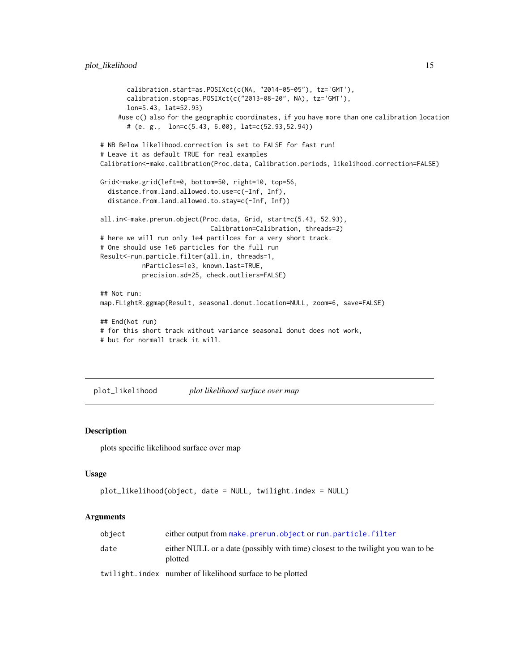```
calibration.start=as.POSIXct(c(NA, "2014-05-05"), tz='GMT'),
      calibration.stop=as.POSIXct(c("2013-08-20", NA), tz='GMT'),
      lon=5.43, lat=52.93)
    #use c() also for the geographic coordinates, if you have more than one calibration location
      # (e. g., lon=c(5.43, 6.00), lat=c(52.93,52.94))
# NB Below likelihood.correction is set to FALSE for fast run!
# Leave it as default TRUE for real examples
Calibration<-make.calibration(Proc.data, Calibration.periods, likelihood.correction=FALSE)
Grid<-make.grid(left=0, bottom=50, right=10, top=56,
 distance.from.land.allowed.to.use=c(-Inf, Inf),
 distance.from.land.allowed.to.stay=c(-Inf, Inf))
all.in<-make.prerun.object(Proc.data, Grid, start=c(5.43, 52.93),
                             Calibration=Calibration, threads=2)
# here we will run only 1e4 partilces for a very short track.
# One should use 1e6 particles for the full run
Result<-run.particle.filter(all.in, threads=1,
           nParticles=1e3, known.last=TRUE,
           precision.sd=25, check.outliers=FALSE)
## Not run:
map.FLightR.ggmap(Result, seasonal.donut.location=NULL, zoom=6, save=FALSE)
## End(Not run)
# for this short track without variance seasonal donut does not work,
# but for normall track it will.
```
plot\_likelihood *plot likelihood surface over map*

#### Description

plots specific likelihood surface over map

#### Usage

```
plot_likelihood(object, date = NULL, twilight.index = NULL)
```

| object | either output from make.prerun.object or run.particle.filter                                |
|--------|---------------------------------------------------------------------------------------------|
| date   | either NULL or a date (possibly with time) closest to the twilight you wan to be<br>plotted |
|        | twilight.index number of likelihood surface to be plotted                                   |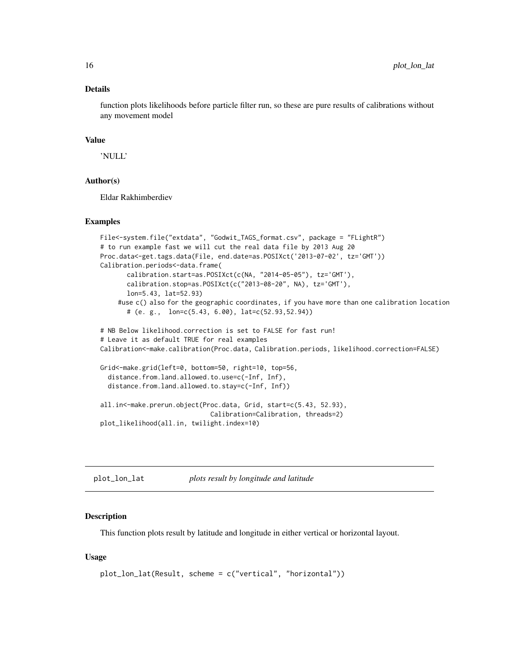#### <span id="page-15-0"></span>Details

function plots likelihoods before particle filter run, so these are pure results of calibrations without any movement model

#### Value

'NULL'

#### Author(s)

Eldar Rakhimberdiev

#### Examples

```
File<-system.file("extdata", "Godwit_TAGS_format.csv", package = "FLightR")
# to run example fast we will cut the real data file by 2013 Aug 20
Proc.data<-get.tags.data(File, end.date=as.POSIXct('2013-07-02', tz='GMT'))
Calibration.periods<-data.frame(
      calibration.start=as.POSIXct(c(NA, "2014-05-05"), tz='GMT'),
      calibration.stop=as.POSIXct(c("2013-08-20", NA), tz='GMT'),
      lon=5.43, lat=52.93)
    #use c() also for the geographic coordinates, if you have more than one calibration location
      # (e. g., lon=c(5.43, 6.00), lat=c(52.93,52.94))
# NB Below likelihood.correction is set to FALSE for fast run!
# Leave it as default TRUE for real examples
Calibration<-make.calibration(Proc.data, Calibration.periods, likelihood.correction=FALSE)
Grid<-make.grid(left=0, bottom=50, right=10, top=56,
 distance.from.land.allowed.to.use=c(-Inf, Inf),
 distance.from.land.allowed.to.stay=c(-Inf, Inf))
all.in<-make.prerun.object(Proc.data, Grid, start=c(5.43, 52.93),
                             Calibration=Calibration, threads=2)
plot_likelihood(all.in, twilight.index=10)
```
plot\_lon\_lat *plots result by longitude and latitude*

#### Description

This function plots result by latitude and longitude in either vertical or horizontal layout.

#### Usage

```
plot_lon_lat(Result, scheme = c("vertical", "horizontal"))
```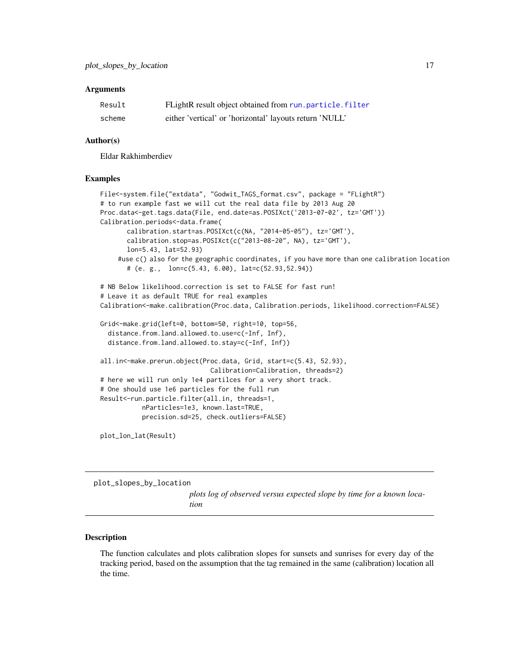#### <span id="page-16-0"></span>**Arguments**

| Result | FLightR result object obtained from run.particle.filter |
|--------|---------------------------------------------------------|
| scheme | either 'vertical' or 'horizontal' layouts return 'NULL' |

#### Author(s)

Eldar Rakhimberdiev

#### Examples

```
File<-system.file("extdata", "Godwit_TAGS_format.csv", package = "FLightR")
# to run example fast we will cut the real data file by 2013 Aug 20
Proc.data<-get.tags.data(File, end.date=as.POSIXct('2013-07-02', tz='GMT'))
Calibration.periods<-data.frame(
       calibration.start=as.POSIXct(c(NA, "2014-05-05"), tz='GMT'),
       calibration.stop=as.POSIXct(c("2013-08-20", NA), tz='GMT'),
       lon=5.43, lat=52.93)
    #use c() also for the geographic coordinates, if you have more than one calibration location
       # (e. g., lon=c(5.43, 6.00), lat=c(52.93,52.94))
# NB Below likelihood.correction is set to FALSE for fast run!
# Leave it as default TRUE for real examples
Calibration<-make.calibration(Proc.data, Calibration.periods, likelihood.correction=FALSE)
Grid<-make.grid(left=0, bottom=50, right=10, top=56,
  distance.from.land.allowed.to.use=c(-Inf, Inf),
  distance.from.land.allowed.to.stay=c(-Inf, Inf))
all.in<-make.prerun.object(Proc.data, Grid, start=c(5.43, 52.93),
                             Calibration=Calibration, threads=2)
# here we will run only 1e4 partilces for a very short track.
# One should use 1e6 particles for the full run
Result<-run.particle.filter(all.in, threads=1,
           nParticles=1e3, known.last=TRUE,
           precision.sd=25, check.outliers=FALSE)
```
plot\_lon\_lat(Result)

plot\_slopes\_by\_location

*plots log of observed versus expected slope by time for a known location*

#### **Description**

The function calculates and plots calibration slopes for sunsets and sunrises for every day of the tracking period, based on the assumption that the tag remained in the same (calibration) location all the time.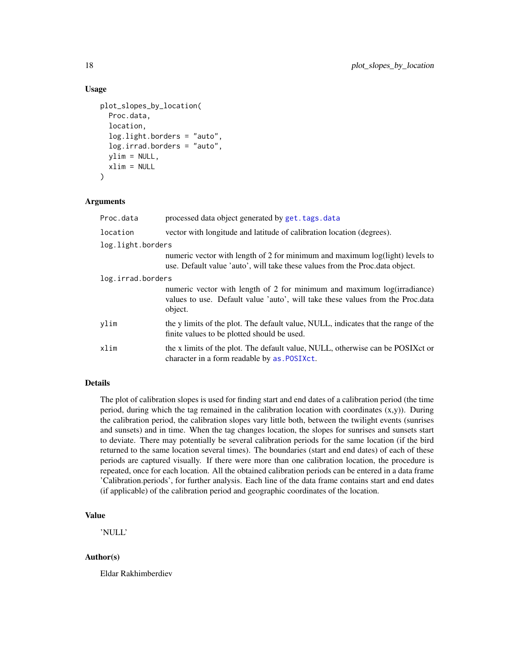#### Usage

```
plot_slopes_by_location(
  Proc.data,
  location,
  log.light.borders = "auto",
  log.irrad.borders = "auto",
  vlim = NULL,
  xlim = NULL
\lambda
```
#### Arguments

| Proc.data         | processed data object generated by get. tags. data                                                                                                                   |  |
|-------------------|----------------------------------------------------------------------------------------------------------------------------------------------------------------------|--|
| location          | vector with longitude and latitude of calibration location (degrees).                                                                                                |  |
| log.light.borders |                                                                                                                                                                      |  |
|                   | numeric vector with length of 2 for minimum and maximum log(light) levels to<br>use. Default value 'auto', will take these values from the Proc.data object.         |  |
| log.irrad.borders |                                                                                                                                                                      |  |
|                   | numeric vector with length of 2 for minimum and maximum log(irradiance)<br>values to use. Default value 'auto', will take these values from the Proc.data<br>object. |  |
| ylim              | the y limits of the plot. The default value, NULL, indicates that the range of the<br>finite values to be plotted should be used.                                    |  |
| xlim              | the x limits of the plot. The default value, NULL, otherwise can be POSIX ct or<br>character in a form readable by as. POSIXct.                                      |  |

#### Details

The plot of calibration slopes is used for finding start and end dates of a calibration period (the time period, during which the tag remained in the calibration location with coordinates  $(x,y)$ ). During the calibration period, the calibration slopes vary little both, between the twilight events (sunrises and sunsets) and in time. When the tag changes location, the slopes for sunrises and sunsets start to deviate. There may potentially be several calibration periods for the same location (if the bird returned to the same location several times). The boundaries (start and end dates) of each of these periods are captured visually. If there were more than one calibration location, the procedure is repeated, once for each location. All the obtained calibration periods can be entered in a data frame 'Calibration.periods', for further analysis. Each line of the data frame contains start and end dates (if applicable) of the calibration period and geographic coordinates of the location.

#### Value

'NULL'

#### Author(s)

Eldar Rakhimberdiev

<span id="page-17-0"></span>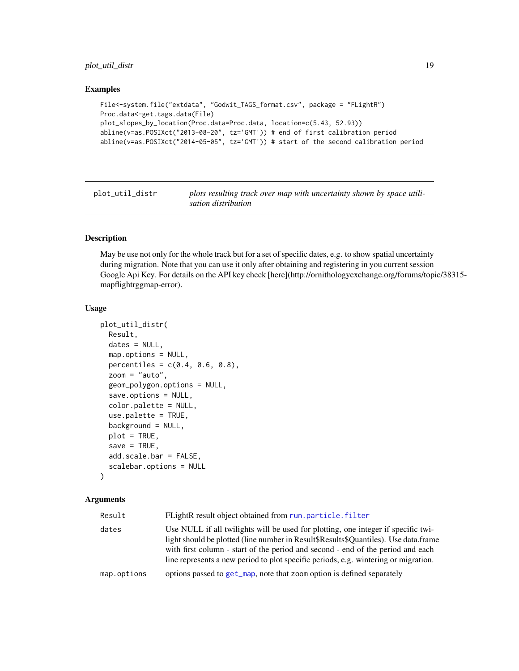#### <span id="page-18-0"></span>plot\_util\_distr 19

#### Examples

```
File<-system.file("extdata", "Godwit_TAGS_format.csv", package = "FLightR")
Proc.data<-get.tags.data(File)
plot_slopes_by_location(Proc.data=Proc.data, location=c(5.43, 52.93))
abline(v=as.POSIXct("2013-08-20", tz='GMT')) # end of first calibration period
abline(v=as.POSIXct("2014-05-05", tz='GMT')) # start of the second calibration period
```
plot\_util\_distr *plots resulting track over map with uncertainty shown by space utilisation distribution*

#### Description

May be use not only for the whole track but for a set of specific dates, e.g. to show spatial uncertainty during migration. Note that you can use it only after obtaining and registering in you current session Google Api Key. For details on the API key check [here](http://ornithologyexchange.org/forums/topic/38315 mapflightrggmap-error).

#### Usage

```
plot_util_distr(
 Result,
 dates = NULL,
 map.options = NULL,
 percentiles = c(0.4, 0.6, 0.8),
  zoom = "auto",
  geom_polygon.options = NULL,
  save.options = NULL,
  color.palette = NULL,
  use.palette = TRUE,
 background = NULL,
 plot = TRUE,save = TRUE,
  add.scale.bar = FALSE,
  scalebar.options = NULL
\lambda
```

| Result      | FLightR result object obtained from run.particle.filter                                                                                                                                                                                                                                                                                            |
|-------------|----------------------------------------------------------------------------------------------------------------------------------------------------------------------------------------------------------------------------------------------------------------------------------------------------------------------------------------------------|
| dates       | Use NULL if all twilights will be used for plotting, one integer if specific twi-<br>light should be plotted (line number in Result\$Results\$Quantiles). Use data.frame<br>with first column - start of the period and second - end of the period and each<br>line represents a new period to plot specific periods, e.g. wintering or migration. |
| map.options | options passed to get_map, note that zoom option is defined separately                                                                                                                                                                                                                                                                             |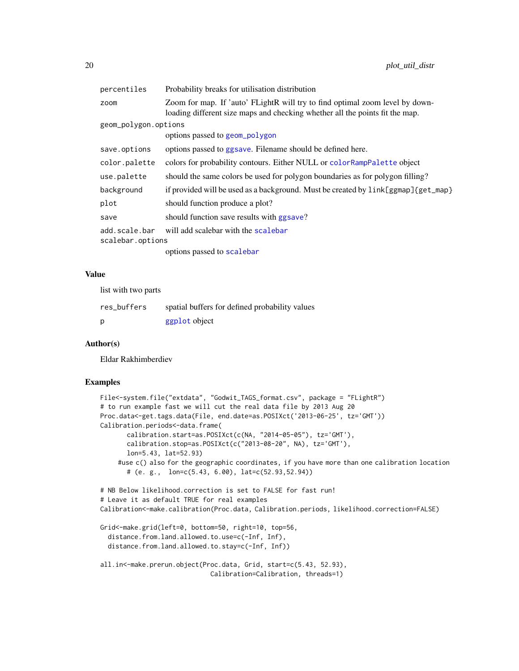<span id="page-19-0"></span>

| percentiles          | Probability breaks for utilisation distribution                                                                                                              |
|----------------------|--------------------------------------------------------------------------------------------------------------------------------------------------------------|
| zoom                 | Zoom for map. If 'auto' FLightR will try to find optimal zoom level by down-<br>loading different size maps and checking whether all the points fit the map. |
| geom_polygon.options |                                                                                                                                                              |
|                      | options passed to geom_polygon                                                                                                                               |
| save.options         | options passed to ggsave. Filename should be defined here.                                                                                                   |
| color.palette        | colors for probability contours. Either NULL or color RampPalette object                                                                                     |
| use.palette          | should the same colors be used for polygon boundaries as for polygon filling?                                                                                |
| background           | if provided will be used as a background. Must be created by $link[ggmap]{getmap}$                                                                           |
| plot                 | should function produce a plot?                                                                                                                              |
| save                 | should function save results with ggsave?                                                                                                                    |
| add.scale.bar        | will add scalebar with the scalebar                                                                                                                          |
| scalebar.options     |                                                                                                                                                              |
|                      | options passed to scalebar                                                                                                                                   |

#### Value

list with two parts

| res_buffers | spatial buffers for defined probability values |
|-------------|------------------------------------------------|
| D           | ggplot object                                  |

#### Author(s)

Eldar Rakhimberdiev

#### Examples

```
File<-system.file("extdata", "Godwit_TAGS_format.csv", package = "FLightR")
# to run example fast we will cut the real data file by 2013 Aug 20
Proc.data<-get.tags.data(File, end.date=as.POSIXct('2013-06-25', tz='GMT'))
Calibration.periods<-data.frame(
       calibration.start=as.POSIXct(c(NA, "2014-05-05"), tz='GMT'),
       calibration.stop=as.POSIXct(c("2013-08-20", NA), tz='GMT'),
       lon=5.43, lat=52.93)
    #use c() also for the geographic coordinates, if you have more than one calibration location
       # (e. g., lon=c(5.43, 6.00), lat=c(52.93,52.94))
# NB Below likelihood.correction is set to FALSE for fast run!
# Leave it as default TRUE for real examples
Calibration<-make.calibration(Proc.data, Calibration.periods, likelihood.correction=FALSE)
Grid<-make.grid(left=0, bottom=50, right=10, top=56,
  distance.from.land.allowed.to.use=c(-Inf, Inf),
  distance.from.land.allowed.to.stay=c(-Inf, Inf))
all.in<-make.prerun.object(Proc.data, Grid, start=c(5.43, 52.93),
                             Calibration=Calibration, threads=1)
```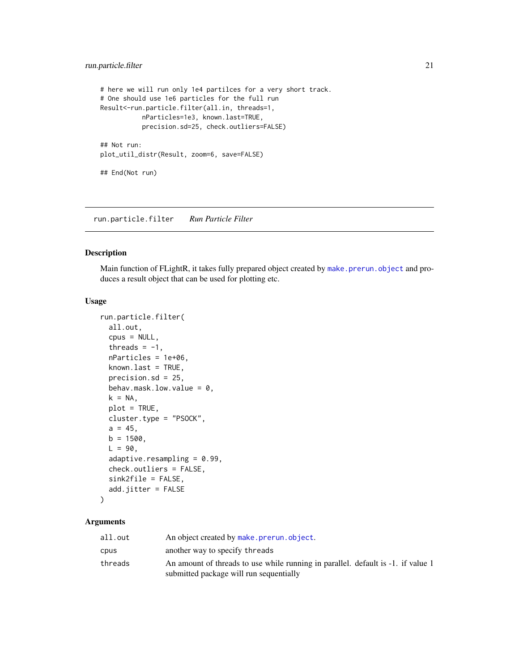```
# here we will run only 1e4 partilces for a very short track.
# One should use 1e6 particles for the full run
Result<-run.particle.filter(all.in, threads=1,
           nParticles=1e3, known.last=TRUE,
           precision.sd=25, check.outliers=FALSE)
## Not run:
plot_util_distr(Result, zoom=6, save=FALSE)
## End(Not run)
```
<span id="page-20-1"></span>run.particle.filter *Run Particle Filter*

#### Description

Main function of FLightR, it takes fully prepared object created by [make.prerun.object](#page-11-1) and produces a result object that can be used for plotting etc.

#### Usage

```
run.particle.filter(
  all.out,
  cpus = NULL,threads = -1,
  nParticles = 1e+06,
 known.last = TRUE,
 precision.sd = 25,
 behav.mask.low.value = 0,
 k = NA,
 plot = TRUE,
 cluster.type = "PSOCK",
  a = 45,b = 1500,
 L = 90,
  adaptive.resampling = 0.99,
  check.outliers = FALSE,
  sink2file = FALSE,
 add.jitter = FALSE
```
## $\mathcal{E}$

| all.out | An object created by make.prerun.object.                                         |
|---------|----------------------------------------------------------------------------------|
| cpus    | another way to specify threads                                                   |
| threads | An amount of threads to use while running in parallel. default is -1. if value 1 |
|         | submitted package will run sequentially                                          |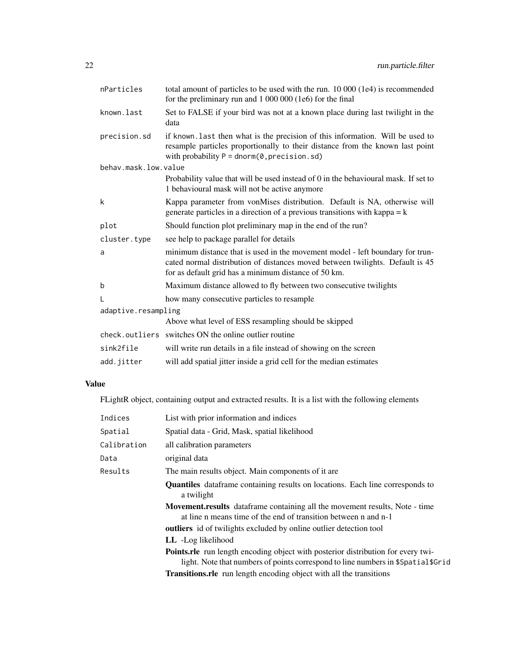| nParticles           | total amount of particles to be used with the run. 10 000 (1e4) is recommended<br>for the preliminary run and 1 000 000 (1e6) for the final                                                                              |  |
|----------------------|--------------------------------------------------------------------------------------------------------------------------------------------------------------------------------------------------------------------------|--|
| known.last           | Set to FALSE if your bird was not at a known place during last twilight in the<br>data                                                                                                                                   |  |
| precision.sd         | if known. Last then what is the precision of this information. Will be used to<br>resample particles proportionally to their distance from the known last point<br>with probability $P = \text{dnorm}(0, precision, sd)$ |  |
| behav.mask.low.value |                                                                                                                                                                                                                          |  |
|                      | Probability value that will be used instead of 0 in the behavioural mask. If set to<br>1 behavioural mask will not be active anymore                                                                                     |  |
| k                    | Kappa parameter from vonMises distribution. Default is NA, otherwise will<br>generate particles in a direction of a previous transitions with kappa $= k$                                                                |  |
| plot                 | Should function plot preliminary map in the end of the run?                                                                                                                                                              |  |
| cluster.type         | see help to package parallel for details                                                                                                                                                                                 |  |
| a                    | minimum distance that is used in the movement model - left boundary for trun-<br>cated normal distribution of distances moved between twilights. Default is 45<br>for as default grid has a minimum distance of 50 km.   |  |
| b                    | Maximum distance allowed to fly between two consecutive twilights                                                                                                                                                        |  |
| L                    | how many consecutive particles to resample                                                                                                                                                                               |  |
| adaptive.resampling  |                                                                                                                                                                                                                          |  |
|                      | Above what level of ESS resampling should be skipped                                                                                                                                                                     |  |
|                      | check.outliers switches ON the online outlier routine                                                                                                                                                                    |  |
| sink2file            | will write run details in a file instead of showing on the screen                                                                                                                                                        |  |
| add.jitter           | will add spatial jitter inside a grid cell for the median estimates                                                                                                                                                      |  |

### Value

FLightR object, containing output and extracted results. It is a list with the following elements

| Indices     | List with prior information and indices                                                                                                                                     |
|-------------|-----------------------------------------------------------------------------------------------------------------------------------------------------------------------------|
| Spatial     | Spatial data - Grid, Mask, spatial likelihood                                                                                                                               |
| Calibration | all calibration parameters                                                                                                                                                  |
| Data        | original data                                                                                                                                                               |
| Results     | The main results object. Main components of it are.                                                                                                                         |
|             | <b>Quantiles</b> dataframe containing results on locations. Each line corresponds to<br>a twilight                                                                          |
|             | Movement.results dataframe containing all the movement results, Note - time<br>at line n means time of the end of transition between n and n-1                              |
|             | <b>outliers</b> id of twilights excluded by online outlier detection tool                                                                                                   |
|             | LL -Log likelihood                                                                                                                                                          |
|             | <b>Points.rle</b> run length encoding object with posterior distribution for every twi-<br>light. Note that numbers of points correspond to line numbers in \$Spatial\$Grid |
|             | <b>Transitions.rle</b> run length encoding object with all the transitions                                                                                                  |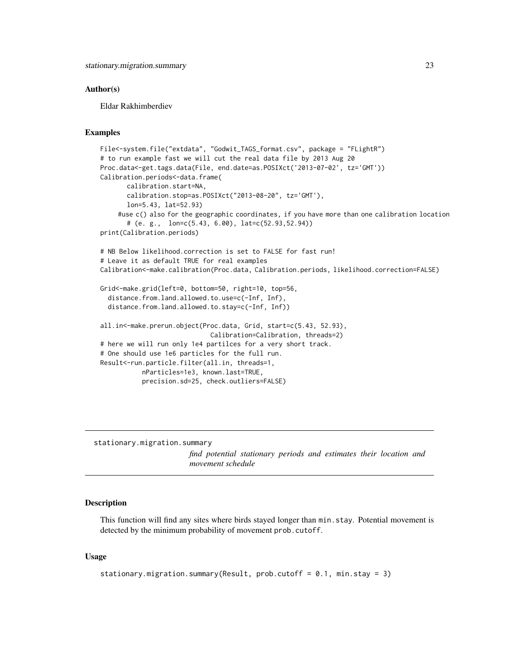#### <span id="page-22-0"></span>Author(s)

Eldar Rakhimberdiev

#### Examples

```
File<-system.file("extdata", "Godwit_TAGS_format.csv", package = "FLightR")
# to run example fast we will cut the real data file by 2013 Aug 20
Proc.data<-get.tags.data(File, end.date=as.POSIXct('2013-07-02', tz='GMT'))
Calibration.periods<-data.frame(
      calibration.start=NA,
      calibration.stop=as.POSIXct("2013-08-20", tz='GMT'),
      lon=5.43, lat=52.93)
    #use c() also for the geographic coordinates, if you have more than one calibration location
      # (e. g., lon=c(5.43, 6.00), lat=c(52.93,52.94))
print(Calibration.periods)
# NB Below likelihood.correction is set to FALSE for fast run!
# Leave it as default TRUE for real examples
Calibration<-make.calibration(Proc.data, Calibration.periods, likelihood.correction=FALSE)
Grid<-make.grid(left=0, bottom=50, right=10, top=56,
 distance.from.land.allowed.to.use=c(-Inf, Inf),
 distance.from.land.allowed.to.stay=c(-Inf, Inf))
all.in<-make.prerun.object(Proc.data, Grid, start=c(5.43, 52.93),
                             Calibration=Calibration, threads=2)
# here we will run only 1e4 partilces for a very short track.
# One should use 1e6 particles for the full run.
Result<-run.particle.filter(all.in, threads=1,
           nParticles=1e3, known.last=TRUE,
           precision.sd=25, check.outliers=FALSE)
```
stationary.migration.summary

*find potential stationary periods and estimates their location and movement schedule*

#### Description

This function will find any sites where birds stayed longer than min.stay. Potential movement is detected by the minimum probability of movement prob.cutoff.

#### Usage

```
stationary.migration.summary(Result, prob.cutoff = 0.1, min.stay = 3)
```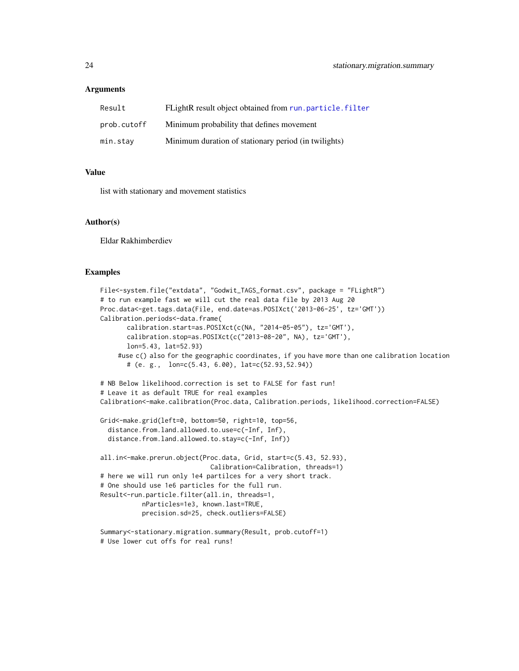#### <span id="page-23-0"></span>Arguments

| Result      | FLightR result object obtained from run.particle.filter |
|-------------|---------------------------------------------------------|
| prob.cutoff | Minimum probability that defines movement               |
| min.stay    | Minimum duration of stationary period (in twilights)    |

#### Value

list with stationary and movement statistics

#### Author(s)

Eldar Rakhimberdiev

#### Examples

```
File<-system.file("extdata", "Godwit_TAGS_format.csv", package = "FLightR")
# to run example fast we will cut the real data file by 2013 Aug 20
Proc.data<-get.tags.data(File, end.date=as.POSIXct('2013-06-25', tz='GMT'))
Calibration.periods<-data.frame(
       calibration.start=as.POSIXct(c(NA, "2014-05-05"), tz='GMT'),
       calibration.stop=as.POSIXct(c("2013-08-20", NA), tz='GMT'),
       lon=5.43, lat=52.93)
    #use c() also for the geographic coordinates, if you have more than one calibration location
       # (e. g., lon=c(5.43, 6.00), lat=c(52.93,52.94))
# NB Below likelihood.correction is set to FALSE for fast run!
# Leave it as default TRUE for real examples
Calibration<-make.calibration(Proc.data, Calibration.periods, likelihood.correction=FALSE)
Grid<-make.grid(left=0, bottom=50, right=10, top=56,
  distance.from.land.allowed.to.use=c(-Inf, Inf),
  distance.from.land.allowed.to.stay=c(-Inf, Inf))
all.in<-make.prerun.object(Proc.data, Grid, start=c(5.43, 52.93),
                             Calibration=Calibration, threads=1)
# here we will run only 1e4 partilces for a very short track.
# One should use 1e6 particles for the full run.
Result<-run.particle.filter(all.in, threads=1,
           nParticles=1e3, known.last=TRUE,
           precision.sd=25, check.outliers=FALSE)
Summary<-stationary.migration.summary(Result, prob.cutoff=1)
```

```
# Use lower cut offs for real runs!
```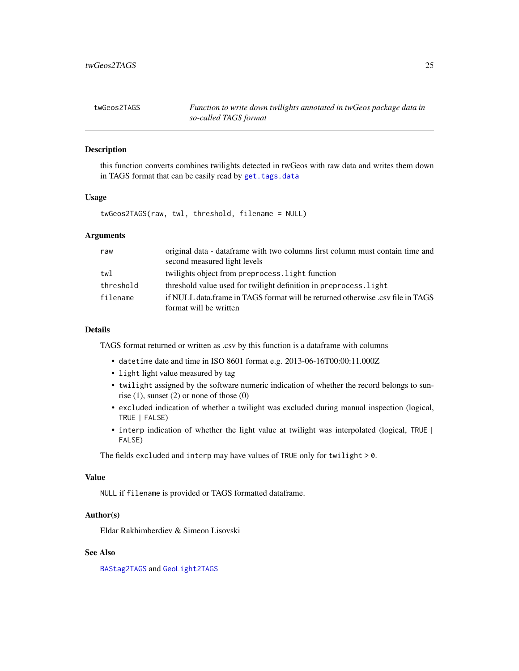<span id="page-24-1"></span><span id="page-24-0"></span>

#### Description

this function converts combines twilights detected in twGeos with raw data and writes them down in TAGS format that can be easily read by [get.tags.data](#page-6-1)

#### Usage

twGeos2TAGS(raw, twl, threshold, filename = NULL)

#### Arguments

| raw       | original data - dataframe with two columns first column must contain time and<br>second measured light levels |
|-----------|---------------------------------------------------------------------------------------------------------------|
|           |                                                                                                               |
| twl       | twilights object from preprocess. light function                                                              |
| threshold | threshold value used for twilight definition in preprocess. light                                             |
| filename  | if NULL data frame in TAGS format will be returned otherwise .csy file in TAGS                                |
|           | format will be written                                                                                        |

#### Details

TAGS format returned or written as .csv by this function is a dataframe with columns

- datetime date and time in ISO 8601 format e.g. 2013-06-16T00:00:11.000Z
- light light value measured by tag
- twilight assigned by the software numeric indication of whether the record belongs to sunrise  $(1)$ , sunset  $(2)$  or none of those  $(0)$
- excluded indication of whether a twilight was excluded during manual inspection (logical, TRUE | FALSE)
- interp indication of whether the light value at twilight was interpolated (logical, TRUE | FALSE)

The fields excluded and interp may have values of TRUE only for twilight > 0.

#### Value

NULL if filename is provided or TAGS formatted dataframe.

#### Author(s)

Eldar Rakhimberdiev & Simeon Lisovski

#### See Also

[BAStag2TAGS](#page-1-1) and [GeoLight2TAGS](#page-5-1)